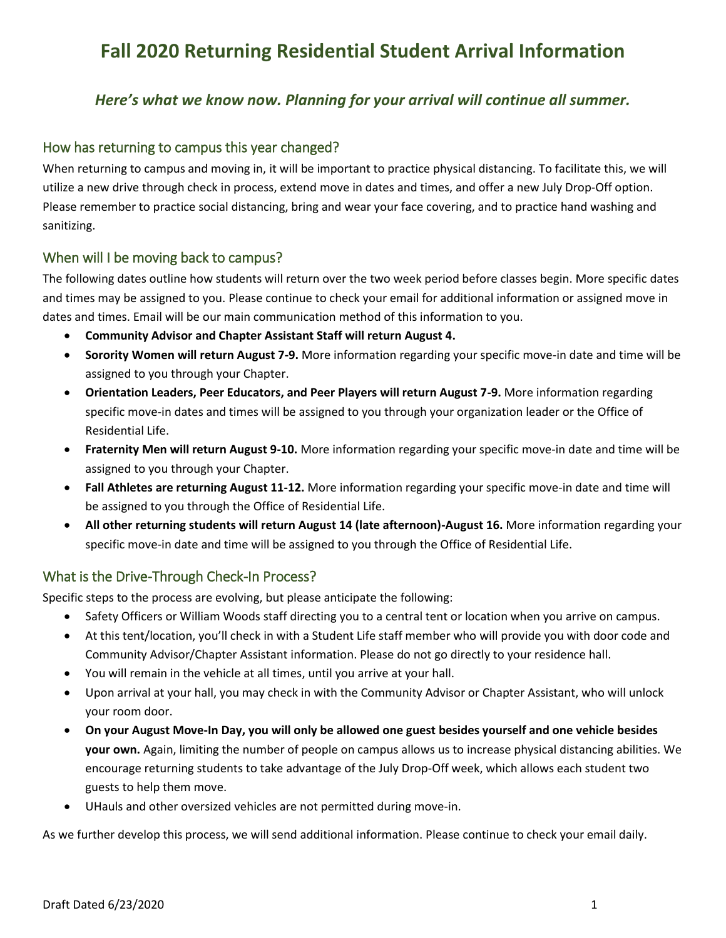# **Fall 2020 Returning Residential Student Arrival Information**

## *Here's what we know now. Planning for your arrival will continue all summer.*

#### How has returning to campus this year changed?

When returning to campus and moving in, it will be important to practice physical distancing. To facilitate this, we will utilize a new drive through check in process, extend move in dates and times, and offer a new July Drop-Off option. Please remember to practice social distancing, bring and wear your face covering, and to practice hand washing and sanitizing.

#### When will I be moving back to campus?

The following dates outline how students will return over the two week period before classes begin. More specific dates and times may be assigned to you. Please continue to check your email for additional information or assigned move in dates and times. Email will be our main communication method of this information to you.

- **Community Advisor and Chapter Assistant Staff will return August 4.**
- **Sorority Women will return August 7-9.** More information regarding your specific move-in date and time will be assigned to you through your Chapter.
- **Orientation Leaders, Peer Educators, and Peer Players will return August 7-9.** More information regarding specific move-in dates and times will be assigned to you through your organization leader or the Office of Residential Life.
- **Fraternity Men will return August 9-10.** More information regarding your specific move-in date and time will be assigned to you through your Chapter.
- **Fall Athletes are returning August 11-12.** More information regarding your specific move-in date and time will be assigned to you through the Office of Residential Life.
- **All other returning students will return August 14 (late afternoon)-August 16.** More information regarding your specific move-in date and time will be assigned to you through the Office of Residential Life.

#### What is the Drive-Through Check-In Process?

Specific steps to the process are evolving, but please anticipate the following:

- Safety Officers or William Woods staff directing you to a central tent or location when you arrive on campus.
- At this tent/location, you'll check in with a Student Life staff member who will provide you with door code and Community Advisor/Chapter Assistant information. Please do not go directly to your residence hall.
- You will remain in the vehicle at all times, until you arrive at your hall.
- Upon arrival at your hall, you may check in with the Community Advisor or Chapter Assistant, who will unlock your room door.
- **On your August Move-In Day, you will only be allowed one guest besides yourself and one vehicle besides your own.** Again, limiting the number of people on campus allows us to increase physical distancing abilities. We encourage returning students to take advantage of the July Drop-Off week, which allows each student two guests to help them move.
- UHauls and other oversized vehicles are not permitted during move-in.

As we further develop this process, we will send additional information. Please continue to check your email daily.